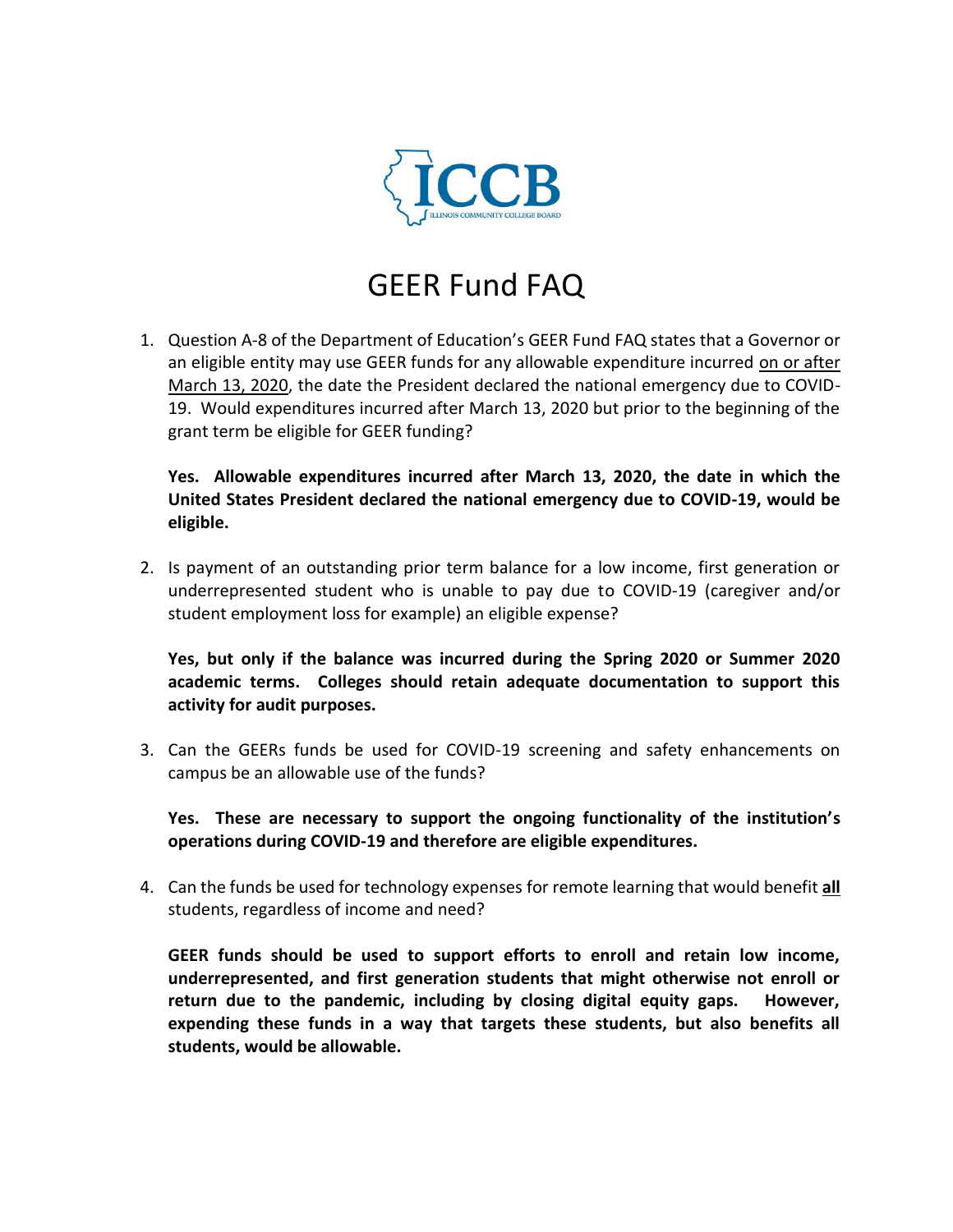

## GEER Fund FAQ

1. Question A-8 of the Department of Education's GEER Fund FAQ states that a Governor or an eligible entity may use GEER funds for any allowable expenditure incurred on or after March 13, 2020, the date the President declared the national emergency due to COVID-19. Would expenditures incurred after March 13, 2020 but prior to the beginning of the grant term be eligible for GEER funding?

**Yes. Allowable expenditures incurred after March 13, 2020, the date in which the United States President declared the national emergency due to COVID-19, would be eligible.**

2. Is payment of an outstanding prior term balance for a low income, first generation or underrepresented student who is unable to pay due to COVID-19 (caregiver and/or student employment loss for example) an eligible expense?

**Yes, but only if the balance was incurred during the Spring 2020 or Summer 2020 academic terms. Colleges should retain adequate documentation to support this activity for audit purposes.**

3. Can the GEERs funds be used for COVID-19 screening and safety enhancements on campus be an allowable use of the funds?

**Yes. These are necessary to support the ongoing functionality of the institution's operations during COVID-19 and therefore are eligible expenditures.**

4. Can the funds be used for technology expenses for remote learning that would benefit **all** students, regardless of income and need?

**GEER funds should be used to support efforts to enroll and retain low income, underrepresented, and first generation students that might otherwise not enroll or return due to the pandemic, including by closing digital equity gaps. However, expending these funds in a way that targets these students, but also benefits all students, would be allowable.**